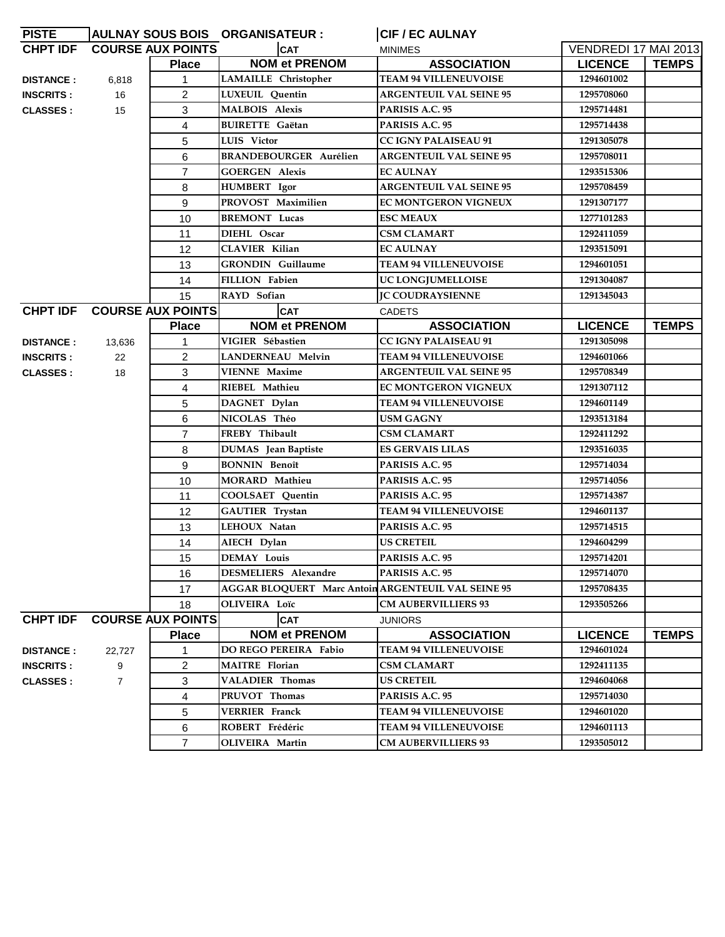| <b>PISTE</b>     |        |                            | AULNAY SOUS BOIS ORGANISATEUR :                    | <b>CIF / EC AULNAY</b>         |                             |              |
|------------------|--------|----------------------------|----------------------------------------------------|--------------------------------|-----------------------------|--------------|
| <b>CHPT IDF</b>  |        | <b>COURSE AUX POINTS</b>   | <b>CAT</b>                                         | <b>MINIMES</b>                 | <b>VENDREDI 17 MAI 2013</b> |              |
|                  |        | <b>Place</b>               | <b>NOM et PRENOM</b>                               | <b>ASSOCIATION</b>             | <b>LICENCE</b>              | <b>TEMPS</b> |
| <b>DISTANCE:</b> | 6,818  | 1                          | LAMAILLE Christopher                               | <b>TEAM 94 VILLENEUVOISE</b>   | 1294601002                  |              |
| <b>INSCRITS:</b> | 16     | $\overline{c}$             | LUXEUIL Quentin                                    | <b>ARGENTEUIL VAL SEINE 95</b> | 1295708060                  |              |
| <b>CLASSES</b> : | 15     | 3                          | <b>MALBOIS Alexis</b>                              | PARISIS A.C. 95                | 1295714481                  |              |
|                  |        | 4                          | <b>BUIRETTE Gaëtan</b>                             | PARISIS A.C. 95                | 1295714438                  |              |
|                  |        | 5                          | LUIS Victor                                        | <b>CC IGNY PALAISEAU 91</b>    | 1291305078                  |              |
|                  |        | 6                          | <b>BRANDEBOURGER Aurélien</b>                      | <b>ARGENTEUIL VAL SEINE 95</b> | 1295708011                  |              |
|                  |        | $\overline{7}$             | <b>GOERGEN Alexis</b>                              | <b>EC AULNAY</b>               | 1293515306                  |              |
|                  |        | 8                          | <b>HUMBERT</b> Igor                                | <b>ARGENTEUIL VAL SEINE 95</b> | 1295708459                  |              |
|                  |        | 9                          | PROVOST Maximilien                                 | EC MONTGERON VIGNEUX           | 1291307177                  |              |
|                  |        | 10                         | <b>BREMONT</b> Lucas                               | <b>ESC MEAUX</b>               | 1277101283                  |              |
|                  |        | 11                         | DIEHL Oscar                                        | <b>CSM CLAMART</b>             | 1292411059                  |              |
|                  |        | 12                         | <b>CLAVIER Kilian</b>                              | <b>EC AULNAY</b>               | 1293515091                  |              |
|                  |        | 13                         | <b>GRONDIN</b> Guillaume                           | <b>TEAM 94 VILLENEUVOISE</b>   | 1294601051                  |              |
|                  |        | 14                         | <b>FILLION Fabien</b>                              | <b>UC LONGJUMELLOISE</b>       | 1291304087                  |              |
|                  |        | 15                         | RAYD Sofian                                        | <b>IC COUDRAYSIENNE</b>        | 1291345043                  |              |
|                  |        | CHPT IDF COURSE AUX POINTS | <b>CAT</b>                                         | <b>CADETS</b>                  |                             |              |
|                  |        | <b>Place</b>               | <b>NOM et PRENOM</b>                               | <b>ASSOCIATION</b>             | <b>LICENCE</b>              | <b>TEMPS</b> |
| <b>DISTANCE:</b> | 13,636 | 1                          | VIGIER Sébastien                                   | <b>CC IGNY PALAISEAU 91</b>    | 1291305098                  |              |
| <b>INSCRITS:</b> | 22     | $\overline{c}$             | <b>LANDERNEAU Melvin</b>                           | <b>TEAM 94 VILLENEUVOISE</b>   | 1294601066                  |              |
| <b>CLASSES:</b>  | 18     | 3                          | <b>VIENNE Maxime</b>                               | <b>ARGENTEUIL VAL SEINE 95</b> | 1295708349                  |              |
|                  |        | 4                          | RIEBEL Mathieu                                     | <b>EC MONTGERON VIGNEUX</b>    | 1291307112                  |              |
|                  |        | 5                          | DAGNET Dylan                                       | <b>TEAM 94 VILLENEUVOISE</b>   | 1294601149                  |              |
|                  |        | 6                          | NICOLAS Théo                                       | USM GAGNY                      | 1293513184                  |              |
|                  |        | $\overline{7}$             | FREBY Thibault                                     | <b>CSM CLAMART</b>             | 1292411292                  |              |
|                  |        | 8                          | DUMAS Jean Baptiste                                | ES GERVAIS LILAS               | 1293516035                  |              |
|                  |        | 9                          | <b>BONNIN Benoît</b>                               | PARISIS A.C. 95                | 1295714034                  |              |
|                  |        | 10                         | MORARD Mathieu                                     | PARISIS A.C. 95                | 1295714056                  |              |
|                  |        | 11                         | COOLSAET Quentin                                   | PARISIS A.C. 95                | 1295714387                  |              |
|                  |        | 12                         | GAUTIER Trystan                                    | <b>TEAM 94 VILLENEUVOISE</b>   | 1294601137                  |              |
|                  |        | 13                         | LEHOUX Natan                                       | PARISIS A.C. 95                | 1295714515                  |              |
|                  |        | 14                         | AIECH Dylan                                        | <b>US CRETEIL</b>              | 1294604299                  |              |
|                  |        | 15                         | <b>DEMAY Louis</b>                                 | PARISIS A.C. 95                | 1295714201                  |              |
|                  |        | 16                         | DESMELIERS Alexandre                               | PARISIS A.C. 95                | 1295714070                  |              |
|                  |        | 17                         | AGGAR BLOQUERT Marc Antoin ARGENTEUIL VAL SEINE 95 |                                | 1295708435                  |              |
|                  |        | 18                         | OLIVEIRA Loïc                                      | <b>CM AUBERVILLIERS 93</b>     | 1293505266                  |              |
| <b>CHPT IDF</b>  |        | <b>COURSE AUX POINTS</b>   | <b>CAT</b>                                         | JUNIORS                        |                             |              |
|                  |        | <b>Place</b>               | <b>NOM et PRENOM</b>                               | <b>ASSOCIATION</b>             | <b>LICENCE</b>              | <b>TEMPS</b> |
| <b>DISTANCE:</b> | 22,727 | 1                          | DO REGO PEREIRA Fabio                              | <b>TEAM 94 VILLENEUVOISE</b>   | 1294601024                  |              |
| <b>INSCRITS:</b> | 9      | $\overline{c}$             | <b>MAITRE</b> Florian                              | <b>CSM CLAMART</b>             | 1292411135                  |              |
| <b>CLASSES:</b>  | 7      | 3                          | <b>VALADIER Thomas</b>                             | <b>US CRETEIL</b>              | 1294604068                  |              |
|                  |        | 4                          | PRUVOT Thomas                                      | PARISIS A.C. 95                | 1295714030                  |              |
|                  |        | 5                          | <b>VERRIER Franck</b>                              | <b>TEAM 94 VILLENEUVOISE</b>   | 1294601020                  |              |
|                  |        | 6                          | ROBERT Frédéric                                    | <b>TEAM 94 VILLENEUVOISE</b>   | 1294601113                  |              |
|                  |        | $\overline{7}$             | <b>OLIVEIRA</b> Martin                             | <b>CM AUBERVILLIERS 93</b>     | 1293505012                  |              |